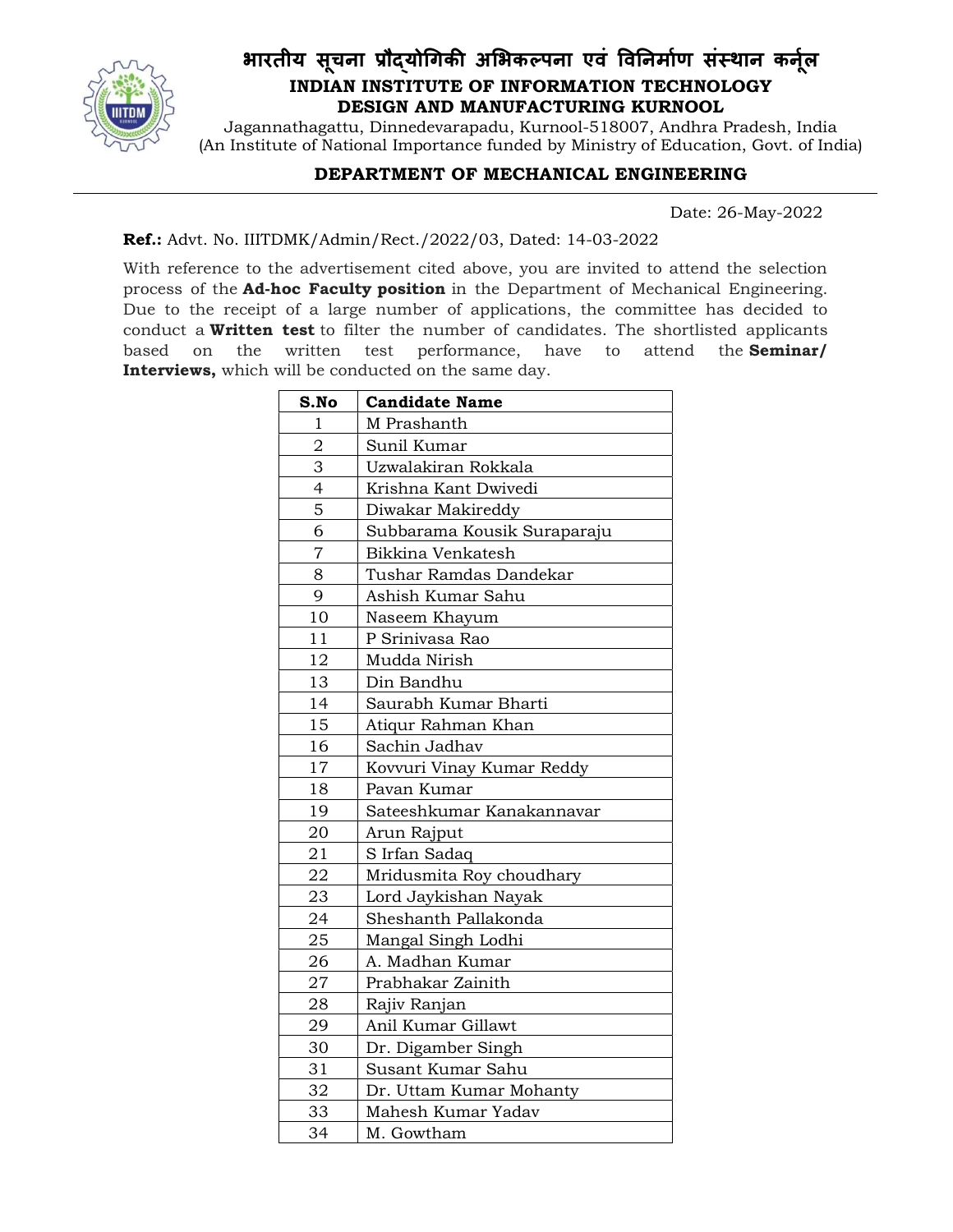

## भारतीय सूचना प्रौद्योगिकी अभिकल्पना एव विनिर्माण सस्थान कर्नूल INDIAN INSTITUTE OF INFORMATION TECHNOLOGY DESIGN AND MANUFACTURING KURNOOL

Jagannathagattu, Dinnedevarapadu, Kurnool-518007, Andhra Pradesh, India (An Institute of National Importance funded by Ministry of Education, Govt. of India)

## DEPARTMENT OF MECHANICAL ENGINEERING

Date: 26-May-2022

## Ref.: Advt. No. IIITDMK/Admin/Rect./2022/03, Dated: 14-03-2022

With reference to the advertisement cited above, you are invited to attend the selection process of the Ad-hoc Faculty position in the Department of Mechanical Engineering. Due to the receipt of a large number of applications, the committee has decided to conduct a Written test to filter the number of candidates. The shortlisted applicants based on the written test performance, have to attend the **Seminar/** Interviews, which will be conducted on the same day.

| S.No           | <b>Candidate Name</b>       |
|----------------|-----------------------------|
| 1              | M Prashanth                 |
| $\overline{2}$ | Sunil Kumar                 |
| 3              | Uzwalakiran Rokkala         |
| 4              | Krishna Kant Dwivedi        |
| 5              | Diwakar Makireddy           |
| 6              | Subbarama Kousik Suraparaju |
| $\overline{7}$ | Bikkina Venkatesh           |
| 8              | Tushar Ramdas Dandekar      |
| 9              | Ashish Kumar Sahu           |
| 10             | Naseem Khayum               |
| 11             | P Srinivasa Rao             |
| 12             | Mudda Nirish                |
| 13             | Din Bandhu                  |
| 14             | Saurabh Kumar Bharti        |
| 15             | Atiqur Rahman Khan          |
| 16             | Sachin Jadhav               |
| 17             | Kovvuri Vinay Kumar Reddy   |
| 18             | Pavan Kumar                 |
| 19             | Sateeshkumar Kanakannavar   |
| 20             | Arun Rajput                 |
| 21             | S Irfan Sadaq               |
| 22             | Mridusmita Roy choudhary    |
| 23             | Lord Jaykishan Nayak        |
| 24             | Sheshanth Pallakonda        |
| 25             | Mangal Singh Lodhi          |
| 26             | A. Madhan Kumar             |
| 27             | Prabhakar Zainith           |
| 28             | Rajiv Ranjan                |
| 29             | Anil Kumar Gillawt          |
| 30             | Dr. Digamber Singh          |
| 31             | Susant Kumar Sahu           |
| 32             | Dr. Uttam Kumar Mohanty     |
| 33             | Mahesh Kumar Yadav          |
| 34             | M. Gowtham                  |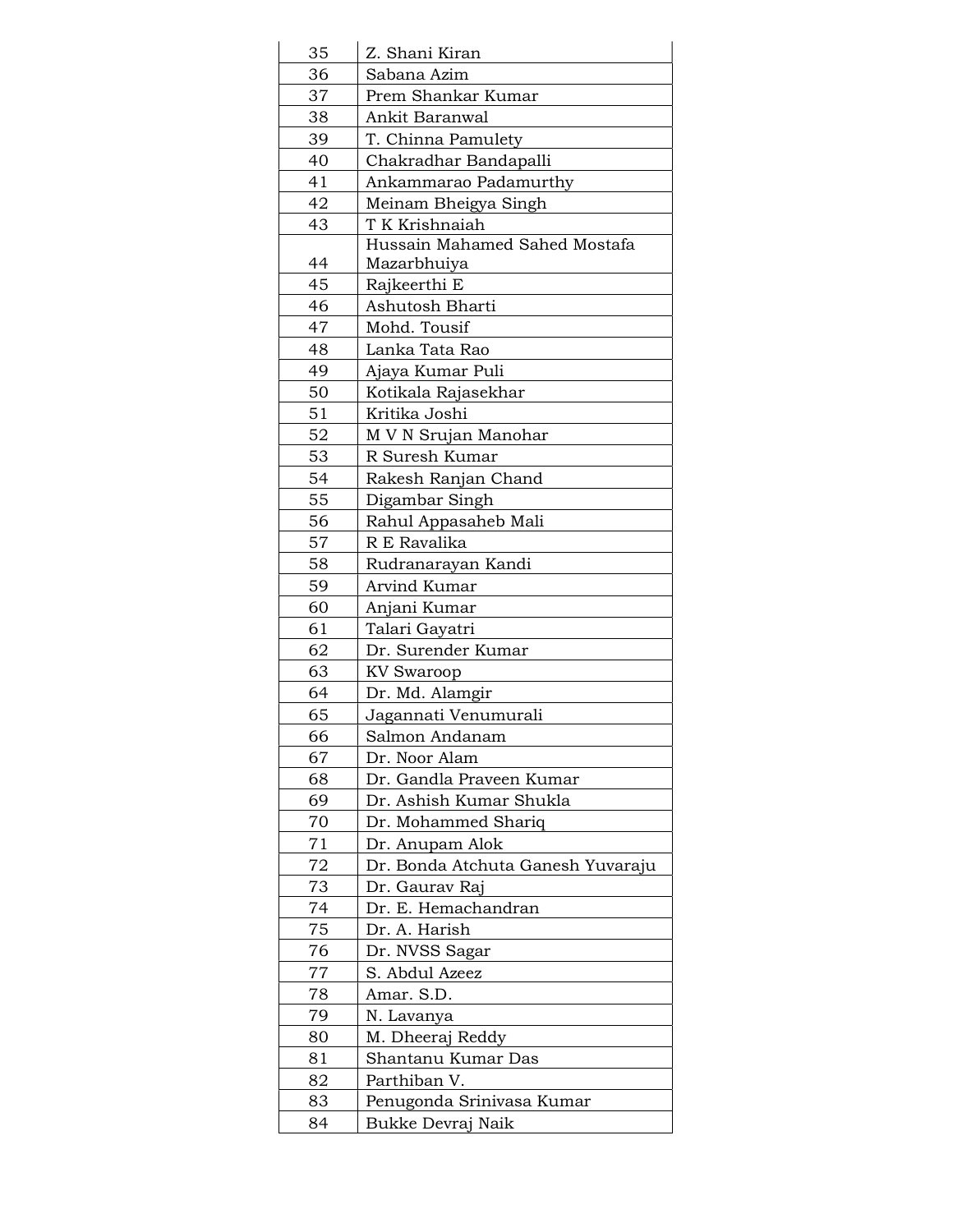| 35 | Z. Shani Kiran                    |  |
|----|-----------------------------------|--|
| 36 | Sabana Azim                       |  |
| 37 | Prem Shankar Kumar                |  |
| 38 | Ankit Baranwal                    |  |
| 39 | T. Chinna Pamulety                |  |
| 40 | Chakradhar Bandapalli             |  |
| 41 | Ankammarao Padamurthy             |  |
| 42 | Meinam Bheigya Singh              |  |
| 43 | T K Krishnaiah                    |  |
|    | Hussain Mahamed Sahed Mostafa     |  |
| 44 | Mazarbhuiya                       |  |
| 45 | Rajkeerthi E                      |  |
| 46 | Ashutosh Bharti                   |  |
| 47 | Mohd. Tousif                      |  |
| 48 | Lanka Tata Rao                    |  |
| 49 | Ajaya Kumar Puli                  |  |
| 50 | Kotikala Rajasekhar               |  |
| 51 | Kritika Joshi                     |  |
| 52 | M V N Srujan Manohar              |  |
| 53 | R Suresh Kumar                    |  |
| 54 | Rakesh Ranjan Chand               |  |
| 55 | Digambar Singh                    |  |
| 56 | Rahul Appasaheb Mali              |  |
| 57 | R E Ravalika                      |  |
| 58 | Rudranarayan Kandi                |  |
| 59 | Arvind Kumar                      |  |
| 60 | Anjani Kumar                      |  |
| 61 | Talari Gayatri                    |  |
| 62 | Dr. Surender Kumar                |  |
| 63 | <b>KV Swaroop</b>                 |  |
| 64 |                                   |  |
| 65 | Dr. Md. Alamgir                   |  |
|    | Jagannati Venumurali              |  |
| 66 | Salmon Andanam                    |  |
| 67 | Dr. Noor Alam                     |  |
| 68 | Dr. Gandla Praveen Kumar          |  |
| 69 | Dr. Ashish Kumar Shukla           |  |
| 70 | Dr. Mohammed Shariq               |  |
| 71 | Dr. Anupam Alok                   |  |
| 72 | Dr. Bonda Atchuta Ganesh Yuvaraju |  |
| 73 | Dr. Gaurav Raj                    |  |
| 74 | Dr. E. Hemachandran               |  |
| 75 | Dr. A. Harish                     |  |
| 76 | Dr. NVSS Sagar                    |  |
| 77 | S. Abdul Azeez                    |  |
| 78 | Amar. S.D.                        |  |
| 79 | N. Lavanya                        |  |
| 80 | M. Dheeraj Reddy                  |  |
| 81 | Shantanu Kumar Das                |  |
| 82 | Parthiban V.                      |  |
| 83 | Penugonda Srinivasa Kumar         |  |
| 84 | Bukke Devraj Naik                 |  |